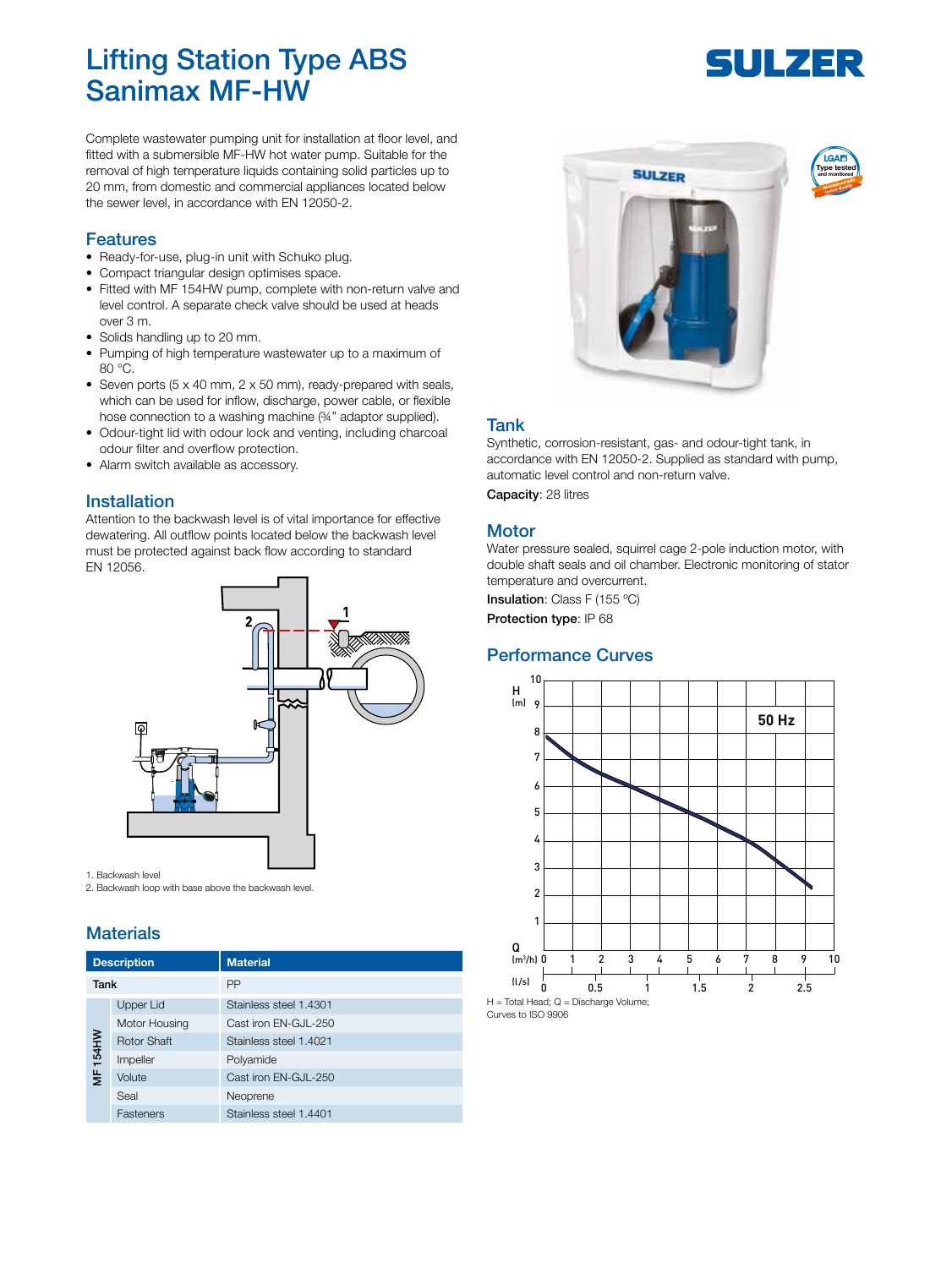## Lifting Station Type ABS Sanimax MF-HW

Complete wastewater pumping unit for installation at floor level, and fitted with a submersible MF-HW hot water pump. Suitable for the removal of high temperature liquids containing solid particles up to 20 mm, from domestic and commercial appliances located below the sewer level, in accordance with EN 12050-2.

#### Features

- Ready-for-use, plug-in unit with Schuko plug.
- Compact triangular design optimises space.
- Fitted with MF 154HW pump, complete with non-return valve and level control. A separate check valve should be used at heads over 3 m.
- Solids handling up to 20 mm.
- Pumping of high temperature wastewater up to a maximum of 80 °C.
- Seven ports (5 x 40 mm, 2 x 50 mm), ready-prepared with seals, which can be used for inflow, discharge, power cable, or flexible hose connection to a washing machine (%" adaptor supplied).
- Odour-tight lid with odour lock and venting, including charcoal odour filter and overflow protection.
- Alarm switch available as accessory.

#### Installation

Attention to the backwash level is of vital importance for effective dewatering. All outflow points located below the backwash level must be protected against back flow according to standard EN 12056.



1. Backwash level

2. Backwash loop with base above the backwash level.

#### **Materials**

| <b>Description</b> |                    | <b>Material</b>        |
|--------------------|--------------------|------------------------|
| Tank               |                    | PP                     |
| 154HW<br>š         | Upper Lid          | Stainless steel 1.4301 |
|                    | Motor Housing      | Cast iron EN-GJL-250   |
|                    | <b>Rotor Shaft</b> | Stainless steel 1.4021 |
|                    | Impeller           | Polyamide              |
|                    | Volute             | Cast iron EN-GJL-250   |
|                    | Seal               | Neoprene               |
|                    | Fasteners          | Stainless steel 1.4401 |



#### Tank

Synthetic, corrosion-resistant, gas- and odour-tight tank, in accordance with EN 12050-2. Supplied as standard with pump, automatic level control and non-return valve. Capacity: 28 litres

#### **Motor**

Water pressure sealed, squirrel cage 2-pole induction motor, with double shaft seals and oil chamber. Electronic monitoring of stator temperature and overcurrent.

Insulation: Class F (155 °C)

Protection type: IP 68

#### Performance Curves



Curves to ISO 9906

# SULZER